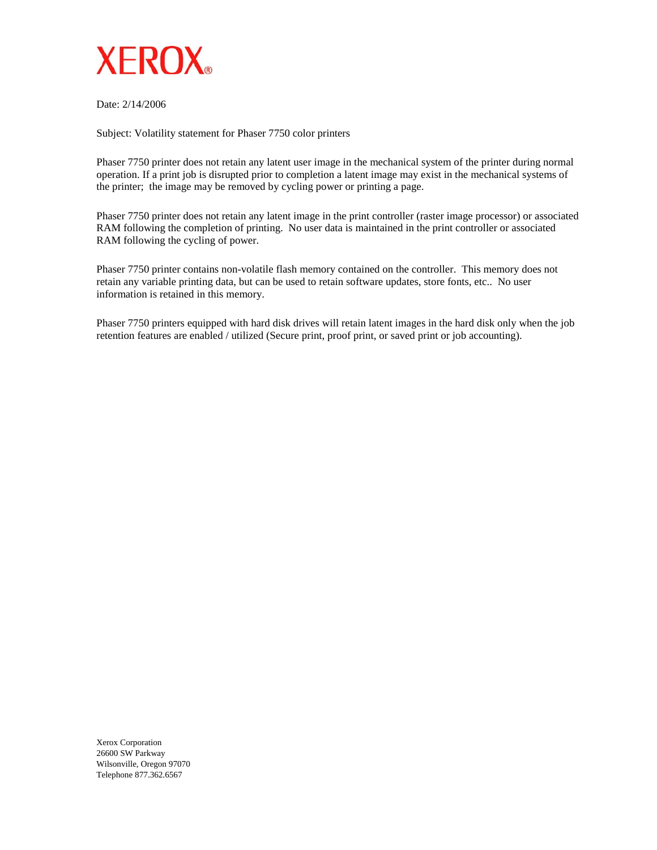

Date: 2/14/2006

Subject: Volatility statement for Phaser 7750 color printers

Phaser 7750 printer does not retain any latent user image in the mechanical system of the printer during normal operation. If a print job is disrupted prior to completion a latent image may exist in the mechanical systems of the printer; the image may be removed by cycling power or printing a page.

Phaser 7750 printer does not retain any latent image in the print controller (raster image processor) or associated RAM following the completion of printing. No user data is maintained in the print controller or associated RAM following the cycling of power.

Phaser 7750 printer contains non-volatile flash memory contained on the controller. This memory does not retain any variable printing data, but can be used to retain software updates, store fonts, etc.. No user information is retained in this memory.

Phaser 7750 printers equipped with hard disk drives will retain latent images in the hard disk only when the job retention features are enabled / utilized (Secure print, proof print, or saved print or job accounting).

Xerox Corporation 26600 SW Parkway Wilsonville, Oregon 97070 Telephone 877.362.6567